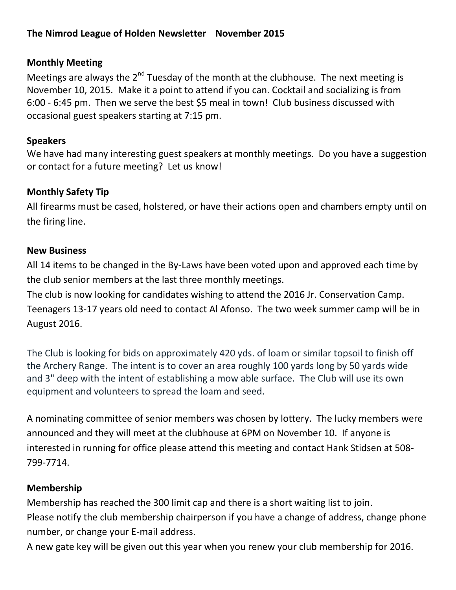### **The Nimrod League of Holden Newsletter November 2015**

#### **Monthly Meeting**

Meetings are always the 2<sup>nd</sup> Tuesday of the month at the clubhouse. The next meeting is November 10, 2015. Make it a point to attend if you can. Cocktail and socializing is from 6:00 - 6:45 pm. Then we serve the best \$5 meal in town! Club business discussed with occasional guest speakers starting at 7:15 pm.

#### **Speakers**

We have had many interesting guest speakers at monthly meetings. Do you have a suggestion or contact for a future meeting? Let us know!

#### **Monthly Safety Tip**

All firearms must be cased, holstered, or have their actions open and chambers empty until on the firing line.

#### **New Business**

All 14 items to be changed in the By-Laws have been voted upon and approved each time by the club senior members at the last three monthly meetings.

The club is now looking for candidates wishing to attend the 2016 Jr. Conservation Camp. Teenagers 13-17 years old need to contact Al Afonso. The two week summer camp will be in August 2016.

The Club is looking for bids on approximately 420 yds. of loam or similar topsoil to finish off the Archery Range. The intent is to cover an area roughly 100 yards long by 50 yards wide and 3" deep with the intent of establishing a mow able surface. The Club will use its own equipment and volunteers to spread the loam and seed.

A nominating committee of senior members was chosen by lottery. The lucky members were announced and they will meet at the clubhouse at 6PM on November 10. If anyone is interested in running for office please attend this meeting and contact Hank Stidsen at 508- 799-7714.

#### **Membership**

Membership has reached the 300 limit cap and there is a short waiting list to join. Please notify the club membership chairperson if you have a change of address, change phone number, or change your E-mail address.

A new gate key will be given out this year when you renew your club membership for 2016.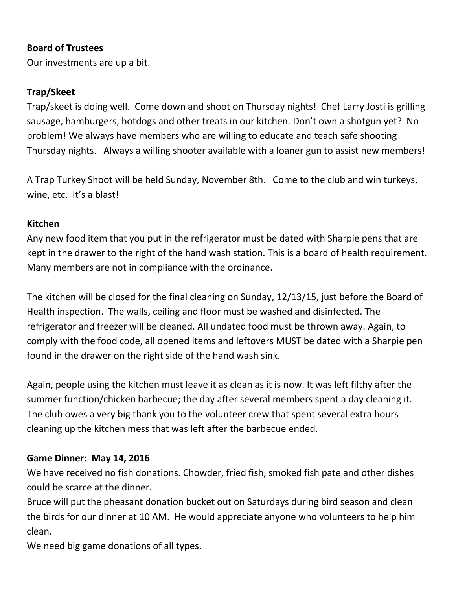### **Board of Trustees**

Our investments are up a bit.

#### **Trap/Skeet**

Trap/skeet is doing well. Come down and shoot on Thursday nights! Chef Larry Josti is grilling sausage, hamburgers, hotdogs and other treats in our kitchen. Don't own a shotgun yet? No problem! We always have members who are willing to educate and teach safe shooting Thursday nights. Always a willing shooter available with a loaner gun to assist new members!

A Trap Turkey Shoot will be held Sunday, November 8th. Come to the club and win turkeys, wine, etc. It's a blast!

#### **Kitchen**

Any new food item that you put in the refrigerator must be dated with Sharpie pens that are kept in the drawer to the right of the hand wash station. This is a board of health requirement. Many members are not in compliance with the ordinance.

The kitchen will be closed for the final cleaning on Sunday, 12/13/15, just before the Board of Health inspection. The walls, ceiling and floor must be washed and disinfected. The refrigerator and freezer will be cleaned. All undated food must be thrown away. Again, to comply with the food code, all opened items and leftovers MUST be dated with a Sharpie pen found in the drawer on the right side of the hand wash sink.

Again, people using the kitchen must leave it as clean as it is now. It was left filthy after the summer function/chicken barbecue; the day after several members spent a day cleaning it. The club owes a very big thank you to the volunteer crew that spent several extra hours cleaning up the kitchen mess that was left after the barbecue ended.

#### **Game Dinner: May 14, 2016**

We have received no fish donations. Chowder, fried fish, smoked fish pate and other dishes could be scarce at the dinner.

Bruce will put the pheasant donation bucket out on Saturdays during bird season and clean the birds for our dinner at 10 AM. He would appreciate anyone who volunteers to help him clean.

We need big game donations of all types.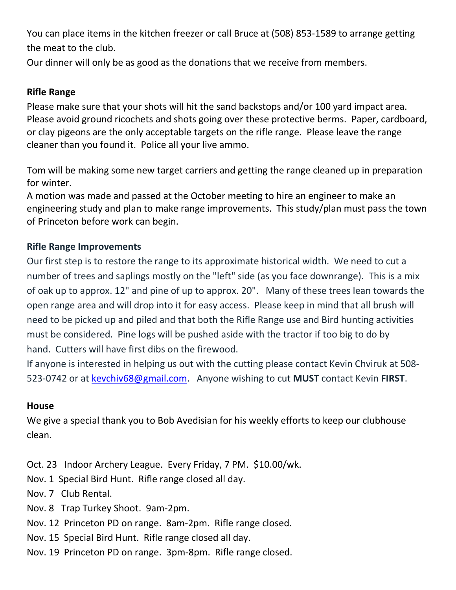You can place items in the kitchen freezer or call Bruce at (508) 853-1589 to arrange getting the meat to the club.

Our dinner will only be as good as the donations that we receive from members.

### **Rifle Range**

Please make sure that your shots will hit the sand backstops and/or 100 yard impact area. Please avoid ground ricochets and shots going over these protective berms. Paper, cardboard, or clay pigeons are the only acceptable targets on the rifle range. Please leave the range cleaner than you found it. Police all your live ammo.

Tom will be making some new target carriers and getting the range cleaned up in preparation for winter.

A motion was made and passed at the October meeting to hire an engineer to make an engineering study and plan to make range improvements. This study/plan must pass the town of Princeton before work can begin.

## **Rifle Range Improvements**

Our first step is to restore the range to its approximate historical width. We need to cut a number of trees and saplings mostly on the "left" side (as you face downrange). This is a mix of oak up to approx. 12" and pine of up to approx. 20". Many of these trees lean towards the open range area and will drop into it for easy access. Please keep in mind that all brush will need to be picked up and piled and that both the Rifle Range use and Bird hunting activities must be considered. Pine logs will be pushed aside with the tractor if too big to do by hand. Cutters will have first dibs on the firewood.

If anyone is interested in helping us out with the cutting please contact Kevin Chviruk at 508- 523-0742 or at [kevchiv68@gmail.com.](mailto:kevchiv68@gmail.com) Anyone wishing to cut **MUST** contact Kevin **FIRST**.

### **House**

We give a special thank you to Bob Avedisian for his weekly efforts to keep our clubhouse clean.

- Oct. 23 Indoor Archery League. Every Friday, 7 PM. \$10.00/wk.
- Nov. 1 Special Bird Hunt. Rifle range closed all day.
- Nov. 7 Club Rental.
- Nov. 8 Trap Turkey Shoot. 9am-2pm.
- Nov. 12 Princeton PD on range. 8am-2pm. Rifle range closed.
- Nov. 15 Special Bird Hunt. Rifle range closed all day.
- Nov. 19 Princeton PD on range. 3pm-8pm. Rifle range closed.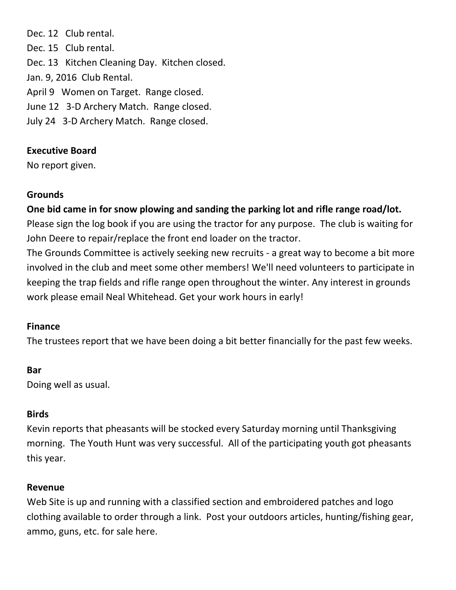Dec. 12 Club rental. Dec. 15 Club rental. Dec. 13 Kitchen Cleaning Day. Kitchen closed. Jan. 9, 2016 Club Rental. April 9 Women on Target. Range closed. June 12 3-D Archery Match. Range closed. July 24 3-D Archery Match. Range closed.

### **Executive Board**

No report given.

### **Grounds**

**One bid came in for snow plowing and sanding the parking lot and rifle range road/lot.**

Please sign the log book if you are using the tractor for any purpose. The club is waiting for John Deere to repair/replace the front end loader on the tractor.

The Grounds Committee is actively seeking new recruits - a great way to become a bit more involved in the club and meet some other members! We'll need volunteers to participate in keeping the trap fields and rifle range open throughout the winter. Any interest in grounds work please email Neal Whitehead. Get your work hours in early!

## **Finance**

The trustees report that we have been doing a bit better financially for the past few weeks.

# **Bar**

Doing well as usual.

## **Birds**

Kevin reports that pheasants will be stocked every Saturday morning until Thanksgiving morning. The Youth Hunt was very successful. All of the participating youth got pheasants this year.

## **Revenue**

Web Site is up and running with a classified section and embroidered patches and logo clothing available to order through a link. Post your outdoors articles, hunting/fishing gear, ammo, guns, etc. for sale here.